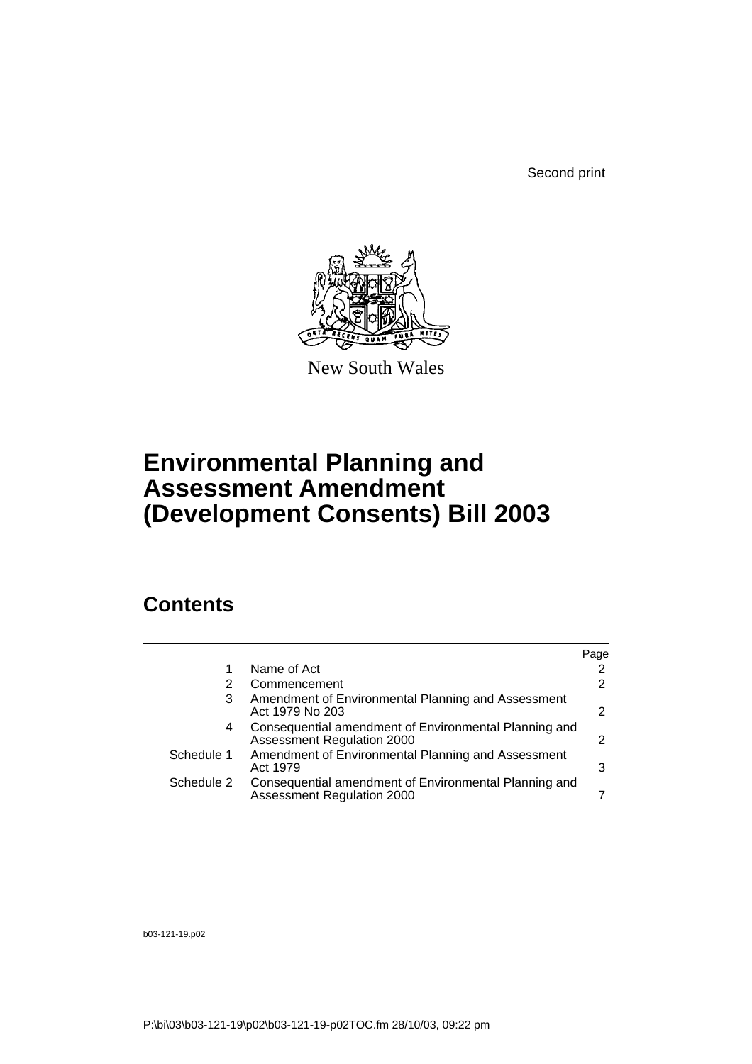Second print



New South Wales

# **Environmental Planning and Assessment Amendment (Development Consents) Bill 2003**

# **Contents**

|                                                                       | Page                                                                                                           |
|-----------------------------------------------------------------------|----------------------------------------------------------------------------------------------------------------|
| Name of Act                                                           |                                                                                                                |
| Commencement                                                          |                                                                                                                |
| Amendment of Environmental Planning and Assessment<br>Act 1979 No 203 | 2                                                                                                              |
| Assessment Regulation 2000                                            | 2                                                                                                              |
| Amendment of Environmental Planning and Assessment<br>Act 1979        | 3                                                                                                              |
| <b>Assessment Regulation 2000</b>                                     |                                                                                                                |
|                                                                       | Consequential amendment of Environmental Planning and<br>Consequential amendment of Environmental Planning and |

b03-121-19.p02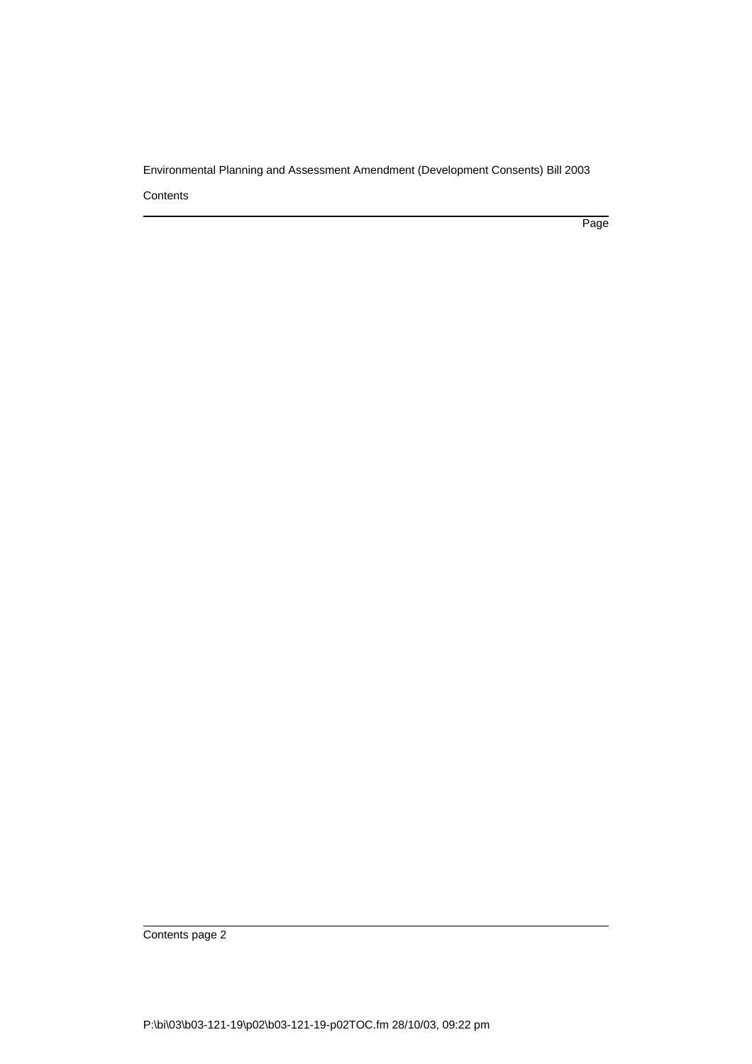**Contents** 

Page

Contents page 2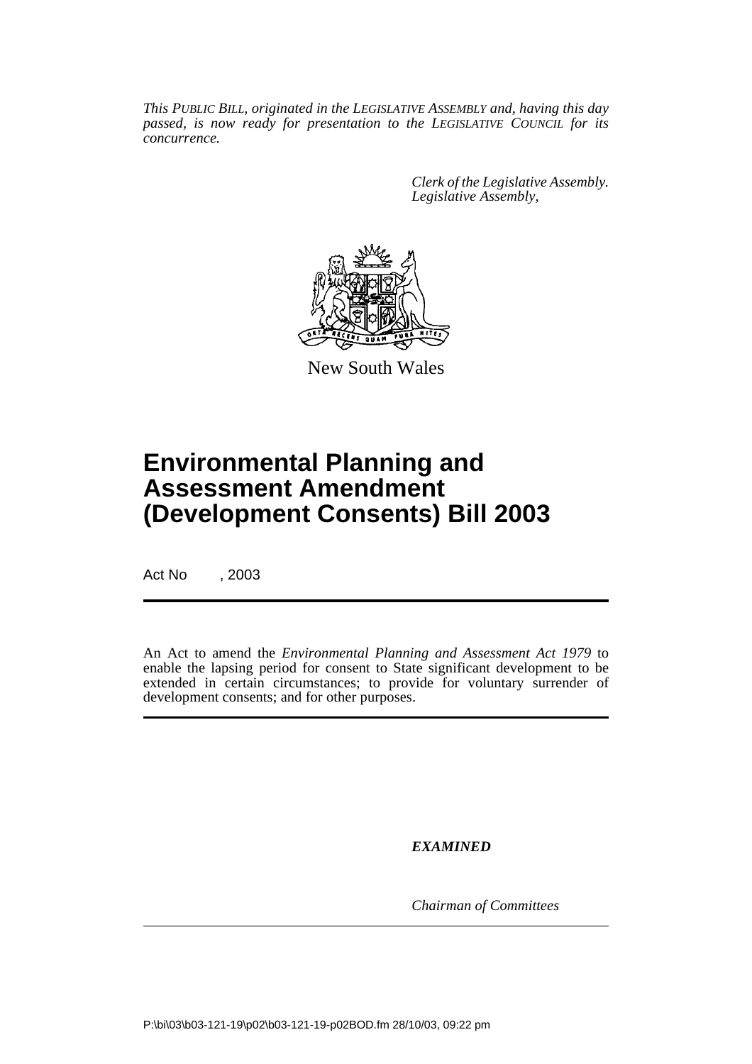*This PUBLIC BILL, originated in the LEGISLATIVE ASSEMBLY and, having this day passed, is now ready for presentation to the LEGISLATIVE COUNCIL for its concurrence.*

> *Clerk of the Legislative Assembly. Legislative Assembly,*



New South Wales

# **Environmental Planning and Assessment Amendment (Development Consents) Bill 2003**

Act No , 2003

An Act to amend the *Environmental Planning and Assessment Act 1979* to enable the lapsing period for consent to State significant development to be extended in certain circumstances; to provide for voluntary surrender of development consents; and for other purposes.

*EXAMINED*

*Chairman of Committees*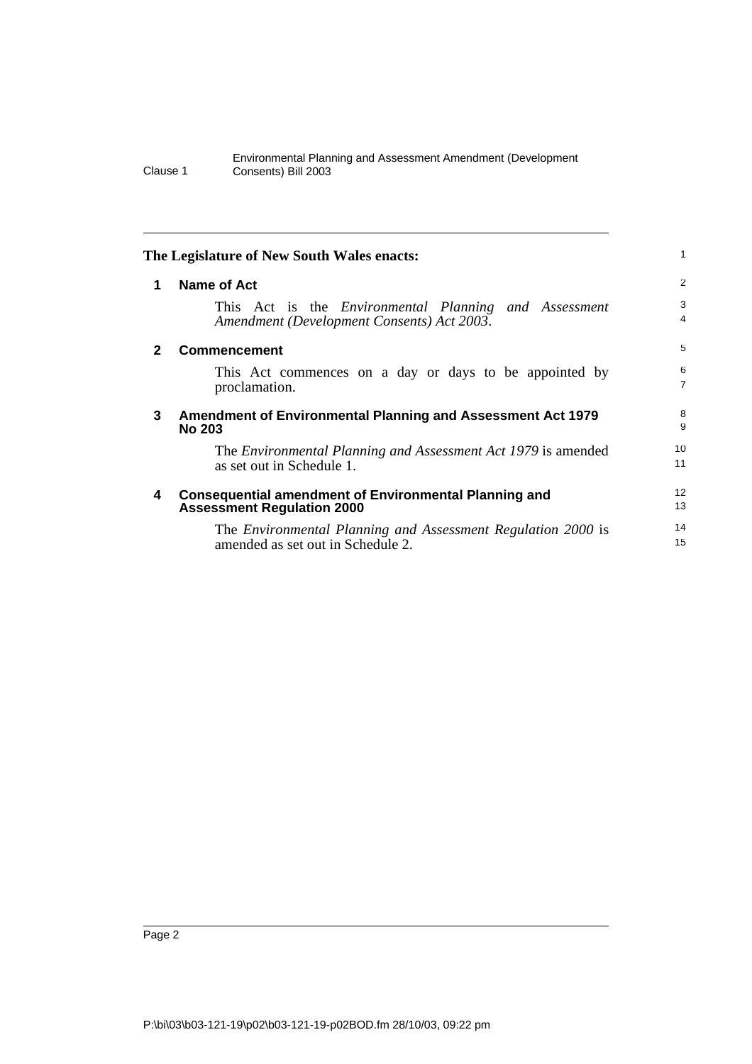|   | The Legislature of New South Wales enacts:                                                                 | 1                   |
|---|------------------------------------------------------------------------------------------------------------|---------------------|
| 1 | Name of Act                                                                                                | $\overline{2}$      |
|   | This Act is the <i>Environmental Planning and Assessment</i><br>Amendment (Development Consents) Act 2003. | 3<br>4              |
| 2 | <b>Commencement</b>                                                                                        | 5                   |
|   | This Act commences on a day or days to be appointed by<br>proclamation.                                    | 6<br>$\overline{7}$ |
| 3 | Amendment of Environmental Planning and Assessment Act 1979<br><b>No 203</b>                               | 8<br>9              |
|   | The <i>Environmental Planning and Assessment Act 1979</i> is amended<br>as set out in Schedule 1.          | 10<br>11            |
| 4 | <b>Consequential amendment of Environmental Planning and</b><br><b>Assessment Regulation 2000</b>          | 12<br>13            |
|   | The Environmental Planning and Assessment Regulation 2000 is<br>amended as set out in Schedule 2.          | 14<br>15            |
|   |                                                                                                            |                     |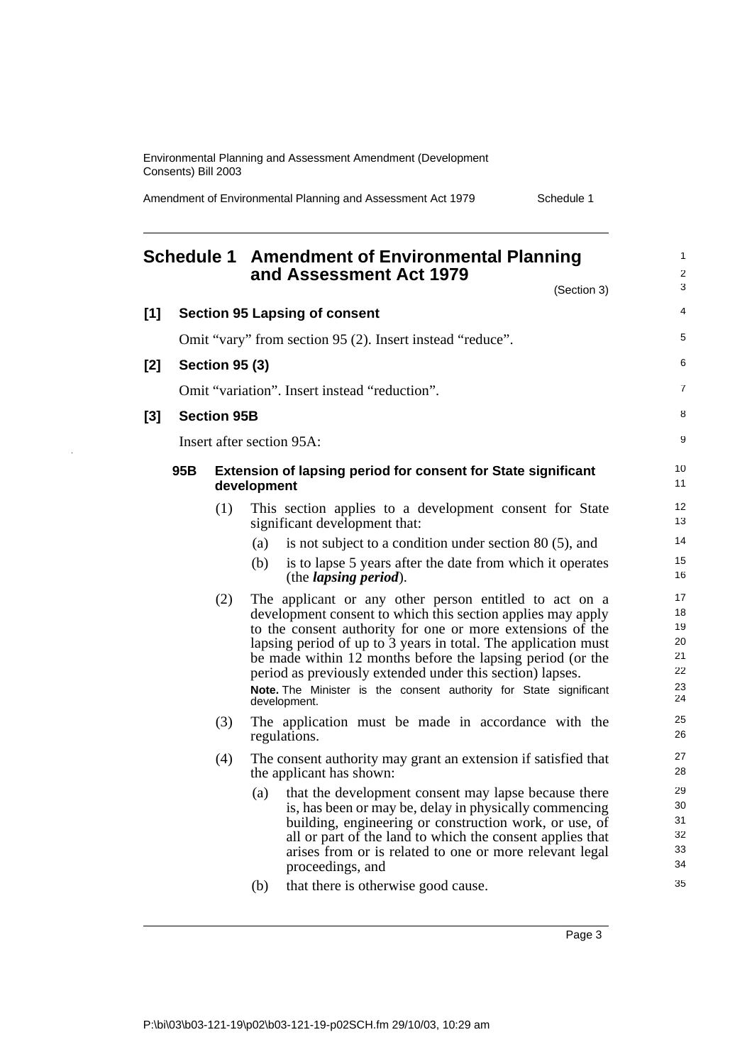Amendment of Environmental Planning and Assessment Act 1979 Schedule 1

#### **Schedule 1 Amendment of Environmental Planning and Assessment Act 1979** (Section 3) **[1] Section 95 Lapsing of consent** Omit "vary" from section 95 (2). Insert instead "reduce". **[2] Section 95 (3)** Omit "variation". Insert instead "reduction". **[3] Section 95B** Insert after section 95A: **95B Extension of lapsing period for consent for State significant development** (1) This section applies to a development consent for State significant development that: (a) is not subject to a condition under section 80 (5), and (b) is to lapse 5 years after the date from which it operates (the *lapsing period*). (2) The applicant or any other person entitled to act on a development consent to which this section applies may apply to the consent authority for one or more extensions of the lapsing period of up to  $3$  years in total. The application must be made within 12 months before the lapsing period (or the period as previously extended under this section) lapses. **Note.** The Minister is the consent authority for State significant development. (3) The application must be made in accordance with the regulations. (4) The consent authority may grant an extension if satisfied that the applicant has shown: (a) that the development consent may lapse because there is, has been or may be, delay in physically commencing building, engineering or construction work, or use, of all or part of the land to which the consent applies that arises from or is related to one or more relevant legal proceedings, and (b) that there is otherwise good cause. 1  $\overline{2}$ 3 4 5 6 7 8 9  $1<sub>0</sub>$ 11 12 13 14 15 16 17 18 19 20 21 22 23 24 25 26 27 28 29 30 31 32 33 34 35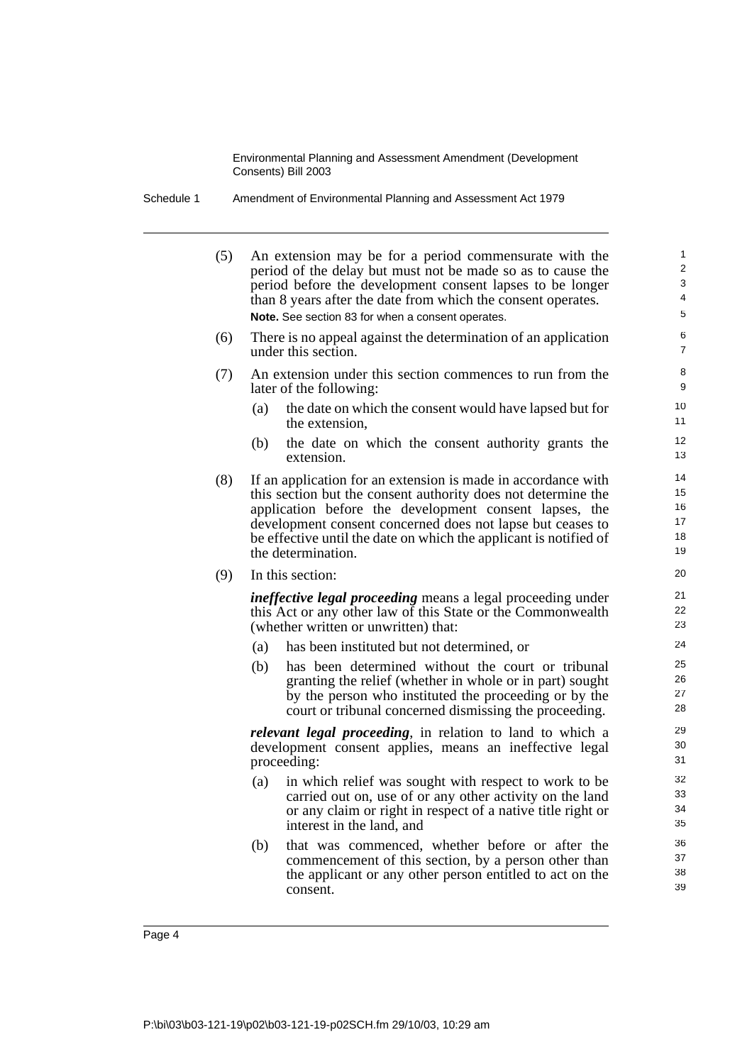| Schedule 1 | Amendment of Environmental Planning and Assessment Act 1979 |
|------------|-------------------------------------------------------------|
|            |                                                             |

(5) An extension may be for a period commensurate with the period of the delay but must not be made so as to cause the period before the development consent lapses to be longer than 8 years after the date from which the consent operates. **Note.** See section 83 for when a consent operates.

- (6) There is no appeal against the determination of an application under this section.
- (7) An extension under this section commences to run from the later of the following:
	- (a) the date on which the consent would have lapsed but for the extension,
	- (b) the date on which the consent authority grants the extension.
- (8) If an application for an extension is made in accordance with this section but the consent authority does not determine the application before the development consent lapses, the development consent concerned does not lapse but ceases to be effective until the date on which the applicant is notified of the determination.
- (9) In this section:

*ineffective legal proceeding* means a legal proceeding under this Act or any other law of this State or the Commonwealth (whether written or unwritten) that:

- (a) has been instituted but not determined, or
- (b) has been determined without the court or tribunal granting the relief (whether in whole or in part) sought by the person who instituted the proceeding or by the court or tribunal concerned dismissing the proceeding.

*relevant legal proceeding*, in relation to land to which a development consent applies, means an ineffective legal proceeding:

- (a) in which relief was sought with respect to work to be carried out on, use of or any other activity on the land or any claim or right in respect of a native title right or interest in the land, and
- (b) that was commenced, whether before or after the commencement of this section, by a person other than the applicant or any other person entitled to act on the consent.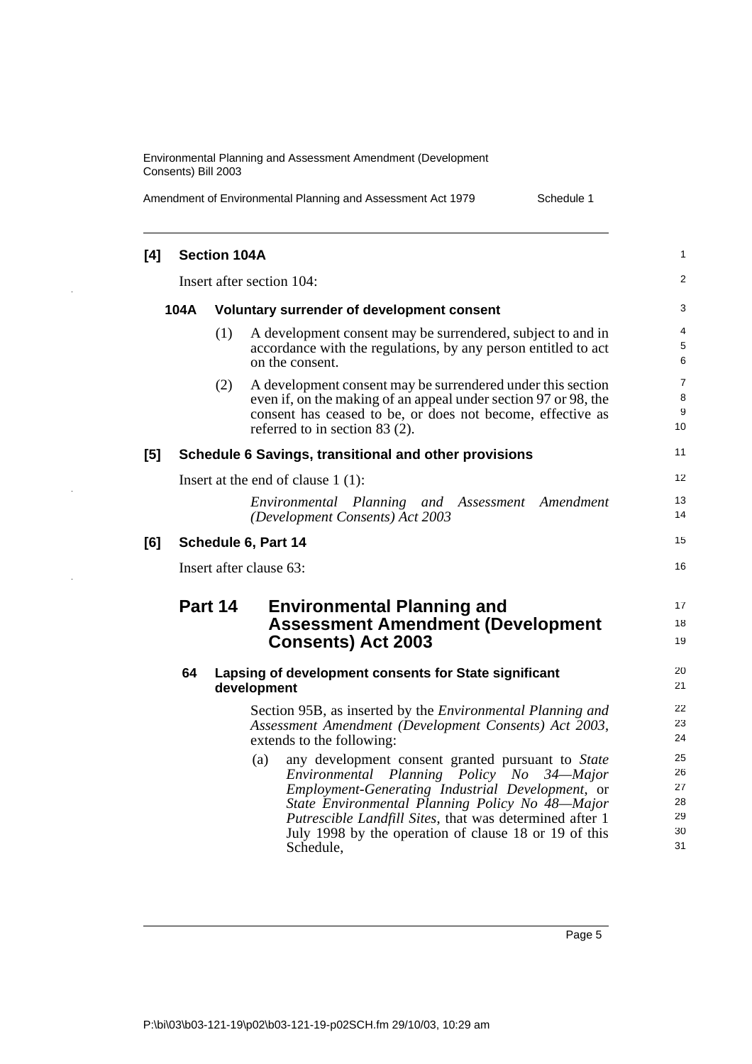| Amendment of Environmental Planning and Assessment Act 1979 |  |
|-------------------------------------------------------------|--|
|                                                             |  |

Schedule 1

| [4] |      | <b>Section 104A</b> |                                                                                                                                                                                                                                                                                                                                               | 1                                      |
|-----|------|---------------------|-----------------------------------------------------------------------------------------------------------------------------------------------------------------------------------------------------------------------------------------------------------------------------------------------------------------------------------------------|----------------------------------------|
|     |      |                     | Insert after section 104:                                                                                                                                                                                                                                                                                                                     | $\overline{c}$                         |
|     | 104A |                     | Voluntary surrender of development consent                                                                                                                                                                                                                                                                                                    | 3                                      |
|     |      | (1)                 | A development consent may be surrendered, subject to and in<br>accordance with the regulations, by any person entitled to act<br>on the consent.                                                                                                                                                                                              | 4<br>5<br>6                            |
|     |      | (2)                 | A development consent may be surrendered under this section<br>even if, on the making of an appeal under section 97 or 98, the<br>consent has ceased to be, or does not become, effective as<br>referred to in section $83(2)$ .                                                                                                              | 7<br>8<br>9<br>10                      |
| [5] |      |                     | Schedule 6 Savings, transitional and other provisions                                                                                                                                                                                                                                                                                         | 11                                     |
|     |      |                     | Insert at the end of clause $1(1)$ :                                                                                                                                                                                                                                                                                                          | 12                                     |
|     |      |                     | Environmental Planning and Assessment Amendment<br>(Development Consents) Act 2003                                                                                                                                                                                                                                                            | 13<br>14                               |
| [6] |      |                     | Schedule 6, Part 14                                                                                                                                                                                                                                                                                                                           | 15                                     |
|     |      |                     | Insert after clause 63:                                                                                                                                                                                                                                                                                                                       | 16                                     |
|     |      | Part 14             | <b>Environmental Planning and</b><br><b>Assessment Amendment (Development</b><br><b>Consents) Act 2003</b>                                                                                                                                                                                                                                    | 17<br>18<br>19                         |
|     | 64   |                     | Lapsing of development consents for State significant<br>development                                                                                                                                                                                                                                                                          | 20<br>21                               |
|     |      |                     | Section 95B, as inserted by the <i>Environmental Planning and</i><br>Assessment Amendment (Development Consents) Act 2003,<br>extends to the following:                                                                                                                                                                                       | 22<br>23<br>24                         |
|     |      |                     | any development consent granted pursuant to State<br>(a)<br>Environmental Planning Policy No 34—Major<br>Employment-Generating Industrial Development, or<br>State Environmental Planning Policy No 48-Major<br>Putrescible Landfill Sites, that was determined after 1<br>July 1998 by the operation of clause 18 or 19 of this<br>Schedule, | 25<br>26<br>27<br>28<br>29<br>30<br>31 |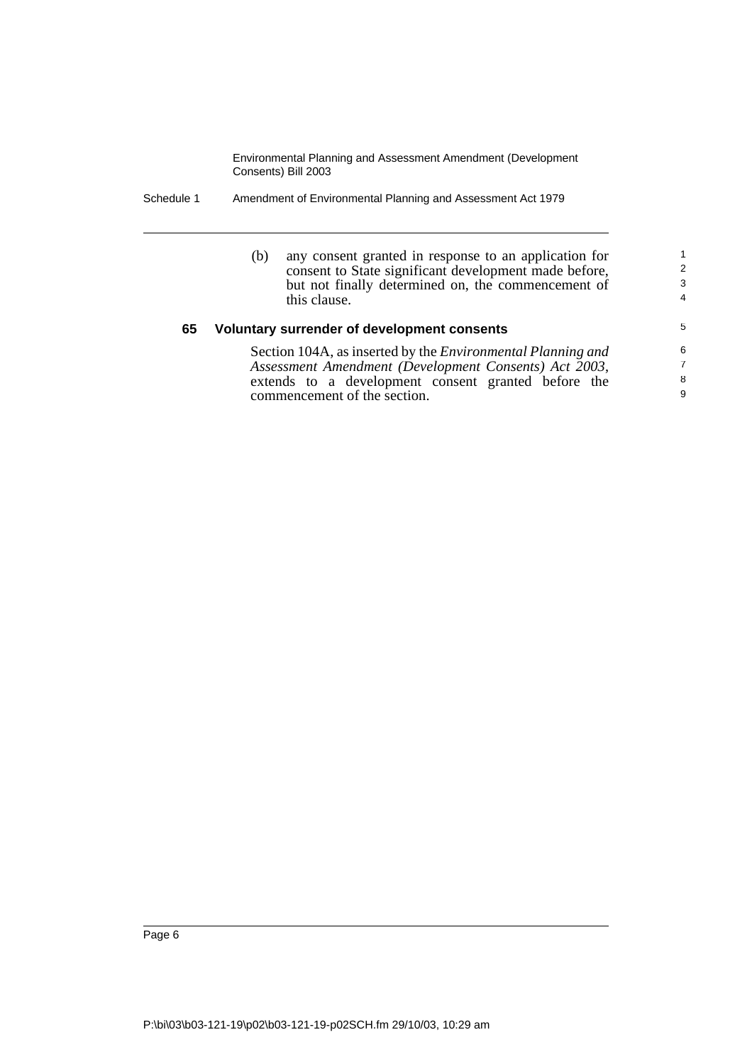Schedule 1 Amendment of Environmental Planning and Assessment Act 1979

| (b) | any consent granted in response to an application for              |
|-----|--------------------------------------------------------------------|
|     | consent to State significant development made before,              |
|     | but not finally determined on, the commencement of<br>this clause. |

## **65 Voluntary surrender of development consents**

Section 104A, as inserted by the *Environmental Planning and* extends to a development consent granted before the commencement of the section.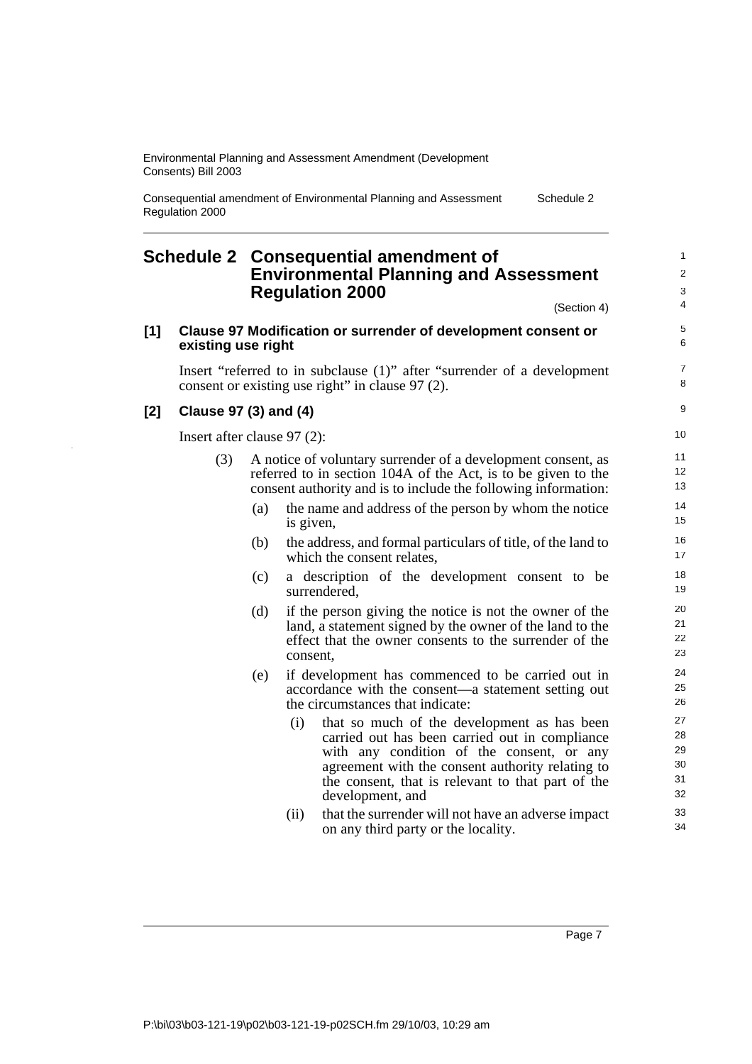Consequential amendment of Environmental Planning and Assessment Regulation 2000 Schedule 2

# **Schedule 2 Consequential amendment of Environmental Planning and Assessment Regulation 2000**

(Section 4)

7 8  $\alpha$ 

## **[1] Clause 97 Modification or surrender of development consent or existing use right**

Insert "referred to in subclause (1)" after "surrender of a development consent or existing use right" in clause 97 (2).

## **[2] Clause 97 (3) and (4)**

Insert after clause 97 (2):

- (3) A notice of voluntary surrender of a development consent, as referred to in section 104A of the Act, is to be given to the consent authority and is to include the following information:
	- (a) the name and address of the person by whom the notice is given,
	- (b) the address, and formal particulars of title, of the land to which the consent relates,
	- (c) a description of the development consent to be surrendered,
	- (d) if the person giving the notice is not the owner of the land, a statement signed by the owner of the land to the effect that the owner consents to the surrender of the consent,
	- (e) if development has commenced to be carried out in accordance with the consent—a statement setting out the circumstances that indicate:
		- (i) that so much of the development as has been carried out has been carried out in compliance with any condition of the consent, or any agreement with the consent authority relating to the consent, that is relevant to that part of the development, and
		- (ii) that the surrender will not have an adverse impact on any third party or the locality.